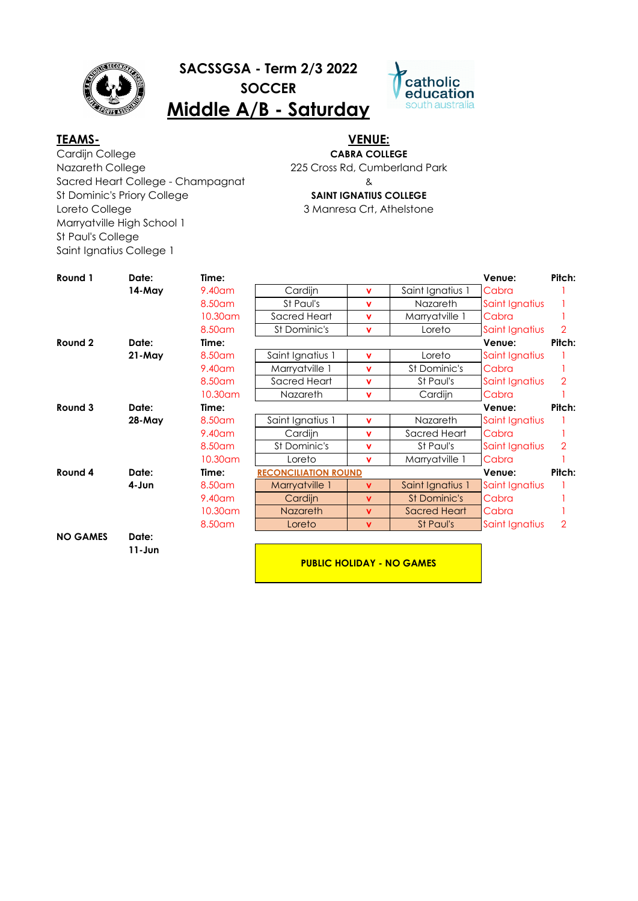

**SACSSGSA - Term 2/3 2022**

**SOCCER**

**Middle A/B - Saturday**



Cardijn College Nazareth College Sacred Heart College - Champagnat St Dominic's Priory College Loreto College Marryatville High School 1 St Paul's College Saint Ignatius College 1 **TEAMS- VENUE:**

# **CABRA COLLEGE**

225 Cross Rd, Cumberland Park

& **SAINT IGNATIUS COLLEGE**

3 Manresa Crt, Athelstone

| Round 1         | Date:         | Time:    |                             |              |                     | Venue:         | Pitch:         |
|-----------------|---------------|----------|-----------------------------|--------------|---------------------|----------------|----------------|
|                 | 14-May        | 9.40 am  | Cardijn                     | $\mathbf{v}$ | Saint Ignatius 1    | Cabra          |                |
|                 |               | 8.50 am  | St Paul's                   | v            | <b>Nazareth</b>     | Saint Ignatius |                |
|                 |               | 10.30 am | Sacred Heart                | v            | Marryatville 1      | Cabra          |                |
|                 |               | 8.50 am  | St Dominic's                | v            | Loreto              | Saint Ignatius | 2              |
| Round 2         | Date:         | Time:    |                             |              |                     | Venue:         | Pitch:         |
|                 | $21$ -May     | 8.50 am  | Saint Ignatius 1            | v            | Loreto              | Saint Ignatius |                |
|                 |               | 9.40 am  | Marryatville 1              | v            | St Dominic's        | Cabra          |                |
|                 |               | 8.50am   | Sacred Heart                | $\mathbf{v}$ | St Paul's           | Saint Ignatius | 2              |
|                 |               | 10.30 am | Nazareth                    | v            | Cardijn             | Cabra          |                |
| Round 3         | Date:         | Time:    |                             |              |                     | Venue:         | Pitch:         |
|                 | <b>28-May</b> | 8.50am   | Saint Ignatius 1            | v            | Nazareth            | Saint Ignatius |                |
|                 |               | 9.40 am  | Cardijn                     | $\mathbf{v}$ | Sacred Heart        | Cabra          |                |
|                 |               | 8.50 am  | St Dominic's                | v            | St Paul's           | Saint Ignatius | 2              |
|                 |               | 10.30 am | Loreto                      | $\mathbf{v}$ | Marryatville 1      | Cabra          |                |
| Round 4         | Date:         | Time:    | <b>RECONCILIATION ROUND</b> |              |                     | Venue:         | Pitch:         |
|                 | 4-Jun         | 8.50 am  | Marryatville 1              | <b>V</b>     | Saint Ignatius 1    | Saint Ignatius |                |
|                 |               | 9.40 am  | Cardijn                     | <b>V</b>     | St Dominic's        | Cabra          |                |
|                 |               | 10.30 am | <b>Nazareth</b>             | <b>V</b>     | <b>Sacred Heart</b> | Cabra          |                |
|                 |               | 8.50am   | Loreto                      | <b>V</b>     | St Paul's           | Saint Ignatius | $\overline{2}$ |
| <b>NO GAMES</b> | Date:         |          |                             |              |                     |                |                |
|                 | $11 - Jun$    |          |                             |              |                     |                |                |

**PUBLIC HOLIDAY - NO GAMES**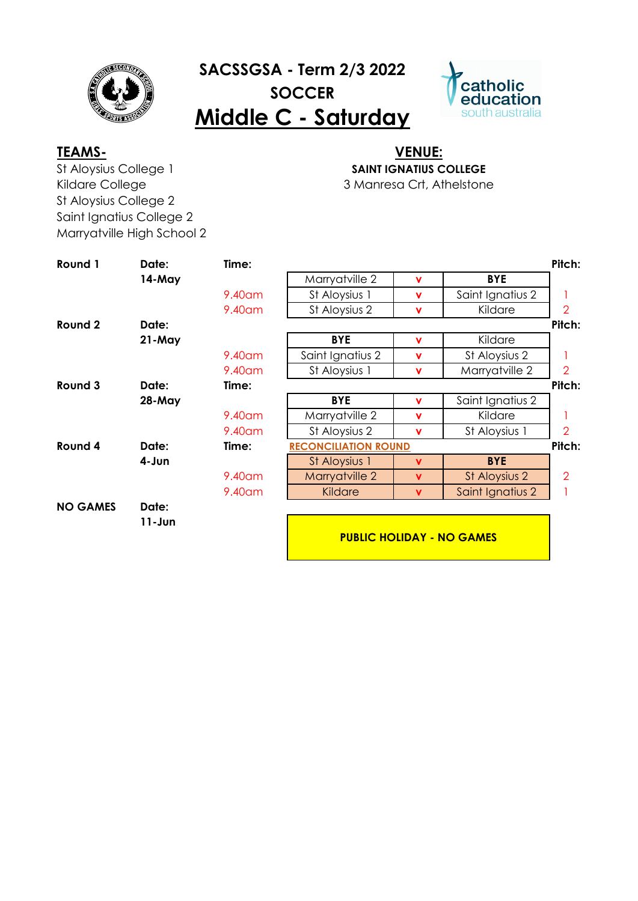

## **SACSSGSA - Term 2/3 2022 SOCCER Middle C - Saturday**



St Aloysius College 1 Kildare College St Aloysius College 2 Saint Ignatius College 2 Marryatville High School 2

## **TEAMS- VENUE: SAINT IGNATIUS COLLEGE**

3 Manresa Crt, Athelstone

| Round 1         | Date:         | Time:     |                                  |             |                  | Pitch:         |  |
|-----------------|---------------|-----------|----------------------------------|-------------|------------------|----------------|--|
|                 | 14-May        |           | Marryatville 2                   | $\mathbf v$ | <b>BYE</b>       |                |  |
|                 |               | 9.40 am   | St Aloysius 1                    | $\mathbf v$ | Saint Ignatius 2 |                |  |
|                 |               | 9.40am    | St Aloysius 2                    | <b>V</b>    | Kildare          | $\overline{2}$ |  |
| Round 2         | Date:         |           |                                  |             |                  | Pitch:         |  |
|                 | 21-May        |           | <b>BYE</b>                       | $\mathbf v$ | Kildare          |                |  |
|                 |               | 9.40 am   | Saint Ignatius 2                 | $\mathbf v$ | St Aloysius 2    |                |  |
|                 |               | 9.40am    | St Aloysius 1                    | $\mathbf v$ | Marryatville 2   | $\overline{2}$ |  |
| Round 3         | Date:         | Time:     |                                  |             |                  | Pitch:         |  |
|                 | <b>28-May</b> |           | <b>BYE</b>                       | $\mathbf v$ | Saint Ignatius 2 |                |  |
|                 |               | $9.40$ am | Marryatville 2                   | $\mathbf v$ | Kildare          |                |  |
|                 |               | $9.40$ am | St Aloysius 2                    | $\mathbf v$ | St Aloysius 1    | $\overline{2}$ |  |
| Round 4         | Date:         | Time:     | <b>RECONCILIATION ROUND</b>      |             |                  | Pitch:         |  |
|                 | 4-Jun         |           | St Aloysius 1                    | v           | <b>BYE</b>       |                |  |
|                 |               | $9.40$ am | Marryatville 2                   | <b>V</b>    | St Aloysius 2    | $\mathcal{P}$  |  |
|                 |               | 9.40am    | Kildare                          | <b>V</b>    | Saint Ignatius 2 |                |  |
| <b>NO GAMES</b> | Date:         |           |                                  |             |                  |                |  |
|                 | $11 - Jun$    |           |                                  |             |                  |                |  |
|                 |               |           | <b>PUBLIC HOLIDAY - NO GAMES</b> |             |                  |                |  |